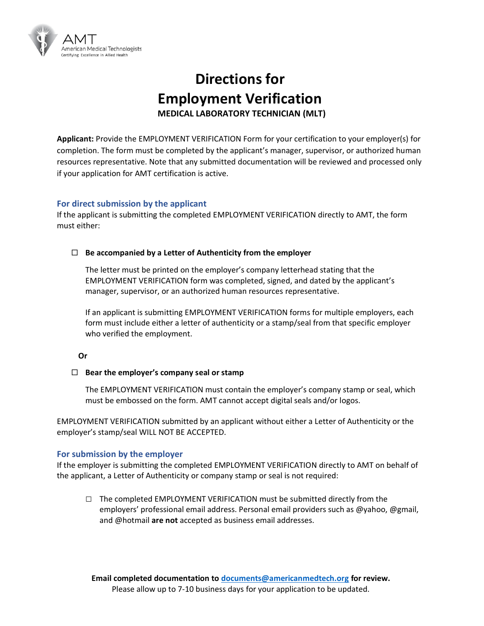

# **Directions for Employment Verification MEDICAL LABORATORY TECHNICIAN (MLT)**

**Applicant:** Provide the EMPLOYMENT VERIFICATION Form for your certification to your employer(s) for completion. The form must be completed by the applicant's manager, supervisor, or authorized human resources representative. Note that any submitted documentation will be reviewed and processed only if your application for AMT certification is active.

### **For direct submission by the applicant**

If the applicant is submitting the completed EMPLOYMENT VERIFICATION directly to AMT, the form must either:

#### **Be accompanied by a Letter of Authenticity from the employer**

The letter must be printed on the employer's company letterhead stating that the EMPLOYMENT VERIFICATION form was completed, signed, and dated by the applicant's manager, supervisor, or an authorized human resources representative.

If an applicant is submitting EMPLOYMENT VERIFICATION forms for multiple employers, each form must include either a letter of authenticity or a stamp/seal from that specific employer who verified the employment.

#### **Or**

#### **Bear the employer's company seal or stamp**

The EMPLOYMENT VERIFICATION must contain the employer's company stamp or seal, which must be embossed on the form. AMT cannot accept digital seals and/or logos.

EMPLOYMENT VERIFICATION submitted by an applicant without either a Letter of Authenticity or the employer's stamp/seal WILL NOT BE ACCEPTED.

#### **For submission by the employer**

If the employer is submitting the completed EMPLOYMENT VERIFICATION directly to AMT on behalf of the applicant, a Letter of Authenticity or company stamp or seal is not required:

**□** The completed EMPLOYMENT VERIFICATION must be submitted directly from the employers' professional email address. Personal email providers such as @yahoo, @gmail, and @hotmail **are not** accepted as business email addresses.